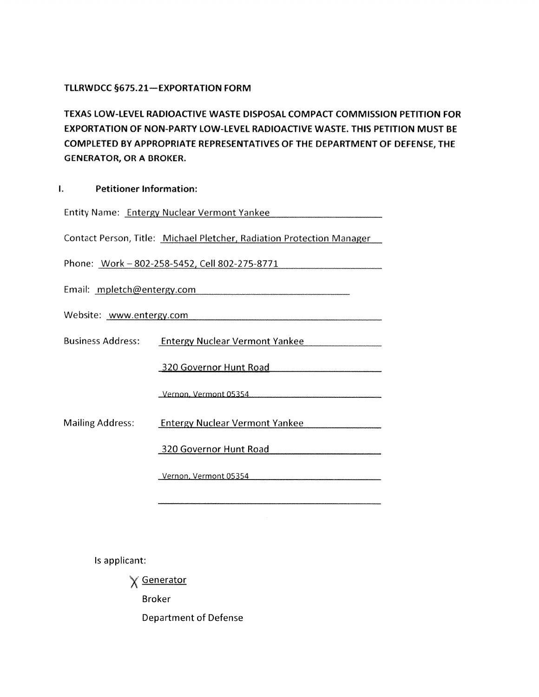## TLLRWDCC §675.21-EXPORTATION FORM

TEXAS LOWLEVEL RADIOACTIVE WASTE DISPOSAL COMPACT COMMISSION PETITION FOR EXPORTATION OF NON-PARTY LOW-LEVEL RADIOACTIVE WASTE. THIS PETITION MUST BE COMPLETED BY APPROPRIATE REPRESENTATIVES OF THE DEPARTMENT OF DEFENSE, THE GENERATOR, OR A BROKER

| -1. |  | <b>Petitioner Information:</b> |
|-----|--|--------------------------------|
|-----|--|--------------------------------|

| Entity Name: Entergy Nuclear Vermont Yankee                           |                                       |  |  |  |  |
|-----------------------------------------------------------------------|---------------------------------------|--|--|--|--|
| Contact Person, Title: Michael Pletcher, Radiation Protection Manager |                                       |  |  |  |  |
| Phone: Work-802-258-5452, Cell 802-275-8771                           |                                       |  |  |  |  |
| Email: mpletch@entergy.com                                            |                                       |  |  |  |  |
| Website: www.entergy.com                                              |                                       |  |  |  |  |
| <b>Business Address:</b>                                              | <b>Entergy Nuclear Vermont Yankee</b> |  |  |  |  |
|                                                                       | 320 Governor Hunt Road                |  |  |  |  |
|                                                                       | Vernon, Vermont 05354                 |  |  |  |  |
| <b>Mailing Address:</b>                                               | <b>Entergy Nuclear Vermont Yankee</b> |  |  |  |  |
|                                                                       | 320 Governor Hunt Road                |  |  |  |  |
|                                                                       | Vernon, Vermont 05354                 |  |  |  |  |

Is applicant:

X Generator

Broker

Department of Defense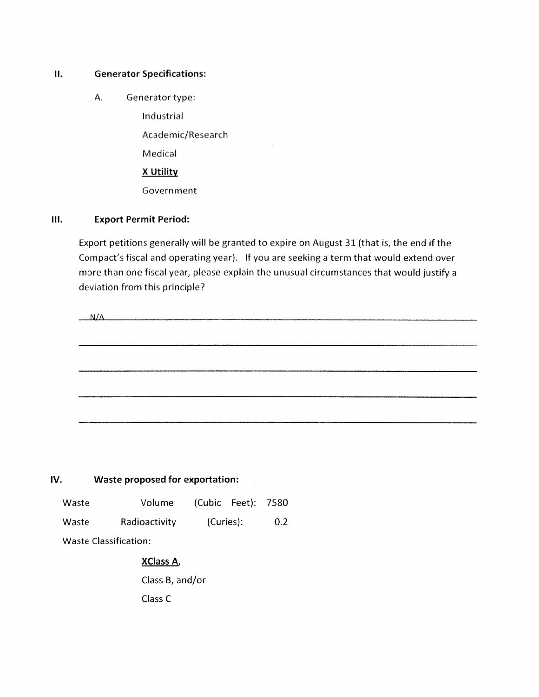### II. Generator Specifications:

A. Generator type:

Industrial

Academic/Research

Medical

<sup>X</sup> Utility

Government

### Ill. Export Permit Period:

Export petitions generally will be granted to expire on August 31 (that is, the end if the Compact's fiscal and operating year). If you are seeking a term that would extend over more than one fiscal year, please explain the unusual circumstances that would justify a deviation from this principle?

| N/A |  |  |
|-----|--|--|
|     |  |  |
|     |  |  |
|     |  |  |
|     |  |  |
|     |  |  |
|     |  |  |
|     |  |  |
|     |  |  |
|     |  |  |

#### IV. Waste proposed for exportation:

Waste Volume (Cubic Feet): 7580 Waste Radioactivity (Curies): 0.2

Waste Classification:

# XClass A,

Class B, and/or Class C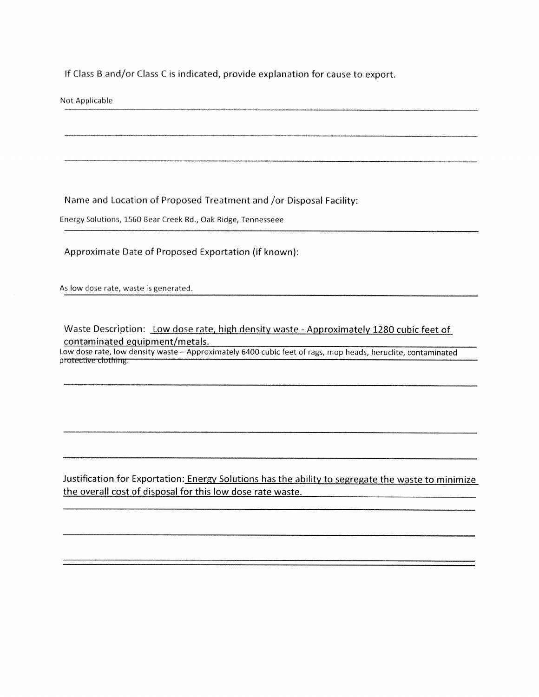If Class <sup>B</sup> and/or Class <sup>C</sup> is indicated, provide explanation for cause to export.

Not Applicable

Name and Location of Proposed Treatment and /or Disposal Facility:

Energy Solutions, 1560 Bear Creek Rd., Oak Ridge, Tennesseee

### Approximate Date of Proposed Exportation (if known):

As low dose rate, waste is generated.

Waste Description: Low dose rate, high density waste - Approximately 1280 cubic feet of contaminated equipment/metals.

Low dose rate, low density waste — Approximately 6400 cubic feet of rags, mop heads, heruclite, contaminated protective clothing.

Justification for Exportation: Energy Solutions has the ability to segregate the waste to minimize the overall cost of disposal for this low dose rate waste.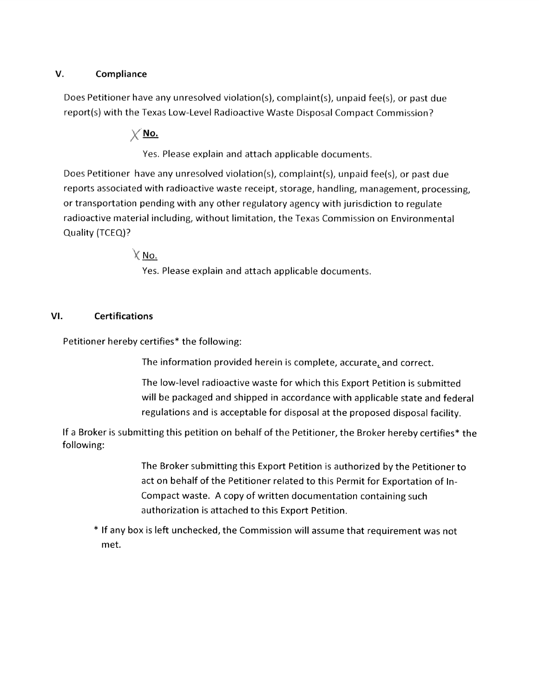## V. Compliance

Does Petitioner have any unresolved violation(s), complaint(s), unpaid fee(s), or past due report(s) with the Texas Low-Level Radioactive Waste Disposal Compact Commission?

 $\times$  No.

Yes. Please explain and attach applicable documents.

Does Petitioner have any unresolved violation(s), complaint(s), unpaid fee(s), or past due reports associated with radioactive waste receipt, storage, handling, management, processing, or transportation pending with any other regulatory agency with jurisdiction to regulate radioactive material including, without limitation, the Texas Commission on Environmental Quality (TCEQ)?

 $X$  No.

Yes. Please explain and attach applicable documents.

# VI. Certifications

Petitioner hereby certifies\* the following:

The information provided herein is complete, accurate, and correct.

The low-level radioactive waste for which this Export Petition is submitted will be packaged and shipped in accordance with applicable state and federal regulations and is acceptable for disposal at the proposed disposal facility.

If <sup>a</sup> Broker is submitting this petition on behalf of the Petitioner, the Broker hereby certifies\* the following:

> The Broker submitting this Export Petition is authorized by the Petitioner to act on behalf of the Petitioner related to this Permit for Exportation of In Compact waste. <sup>A</sup> copy of written documentation containing such authorization is attached to this Export Petition.

\* If any box is left unchecked, the Commission will assume that requirement was not met.